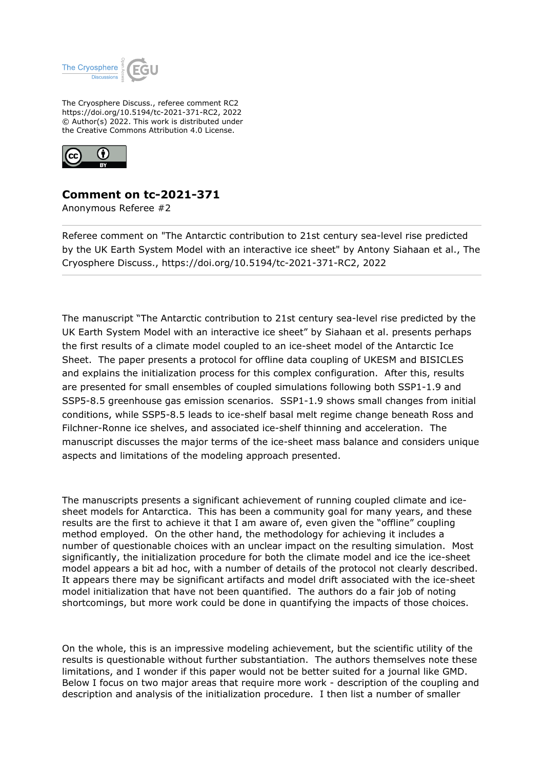

The Cryosphere Discuss., referee comment RC2 https://doi.org/10.5194/tc-2021-371-RC2, 2022 © Author(s) 2022. This work is distributed under the Creative Commons Attribution 4.0 License.



# **Comment on tc-2021-371**

Anonymous Referee #2

Referee comment on "The Antarctic contribution to 21st century sea-level rise predicted by the UK Earth System Model with an interactive ice sheet" by Antony Siahaan et al., The Cryosphere Discuss., https://doi.org/10.5194/tc-2021-371-RC2, 2022

The manuscript "The Antarctic contribution to 21st century sea-level rise predicted by the UK Earth System Model with an interactive ice sheet" by Siahaan et al. presents perhaps the first results of a climate model coupled to an ice-sheet model of the Antarctic Ice Sheet. The paper presents a protocol for offline data coupling of UKESM and BISICLES and explains the initialization process for this complex configuration. After this, results are presented for small ensembles of coupled simulations following both SSP1-1.9 and SSP5-8.5 greenhouse gas emission scenarios. SSP1-1.9 shows small changes from initial conditions, while SSP5-8.5 leads to ice-shelf basal melt regime change beneath Ross and Filchner-Ronne ice shelves, and associated ice-shelf thinning and acceleration. The manuscript discusses the major terms of the ice-sheet mass balance and considers unique aspects and limitations of the modeling approach presented.

The manuscripts presents a significant achievement of running coupled climate and icesheet models for Antarctica. This has been a community goal for many years, and these results are the first to achieve it that I am aware of, even given the "offline" coupling method employed. On the other hand, the methodology for achieving it includes a number of questionable choices with an unclear impact on the resulting simulation. Most significantly, the initialization procedure for both the climate model and ice the ice-sheet model appears a bit ad hoc, with a number of details of the protocol not clearly described. It appears there may be significant artifacts and model drift associated with the ice-sheet model initialization that have not been quantified. The authors do a fair job of noting shortcomings, but more work could be done in quantifying the impacts of those choices.

On the whole, this is an impressive modeling achievement, but the scientific utility of the results is questionable without further substantiation. The authors themselves note these limitations, and I wonder if this paper would not be better suited for a journal like GMD. Below I focus on two major areas that require more work - description of the coupling and description and analysis of the initialization procedure. I then list a number of smaller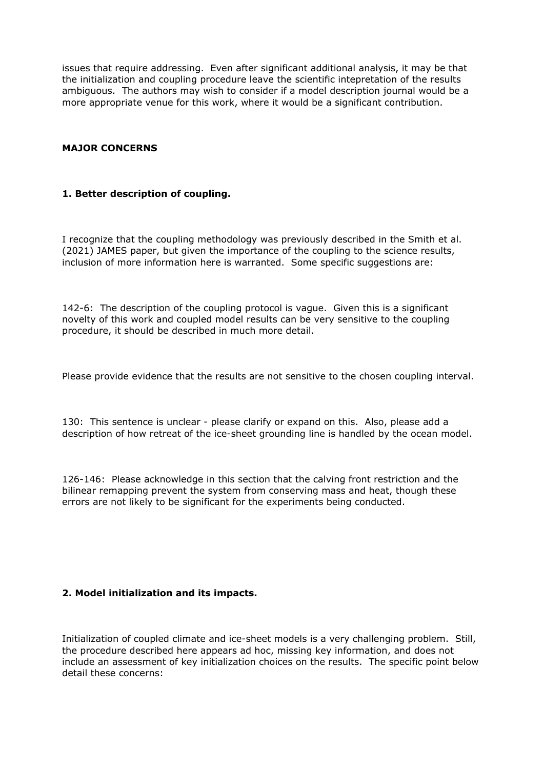issues that require addressing. Even after significant additional analysis, it may be that the initialization and coupling procedure leave the scientific intepretation of the results ambiguous. The authors may wish to consider if a model description journal would be a more appropriate venue for this work, where it would be a significant contribution.

### **MAJOR CONCERNS**

### **1. Better description of coupling.**

I recognize that the coupling methodology was previously described in the Smith et al. (2021) JAMES paper, but given the importance of the coupling to the science results, inclusion of more information here is warranted. Some specific suggestions are:

142-6: The description of the coupling protocol is vague. Given this is a significant novelty of this work and coupled model results can be very sensitive to the coupling procedure, it should be described in much more detail.

Please provide evidence that the results are not sensitive to the chosen coupling interval.

130: This sentence is unclear - please clarify or expand on this. Also, please add a description of how retreat of the ice-sheet grounding line is handled by the ocean model.

126-146: Please acknowledge in this section that the calving front restriction and the bilinear remapping prevent the system from conserving mass and heat, though these errors are not likely to be significant for the experiments being conducted.

## **2. Model initialization and its impacts.**

Initialization of coupled climate and ice-sheet models is a very challenging problem. Still, the procedure described here appears ad hoc, missing key information, and does not include an assessment of key initialization choices on the results. The specific point below detail these concerns: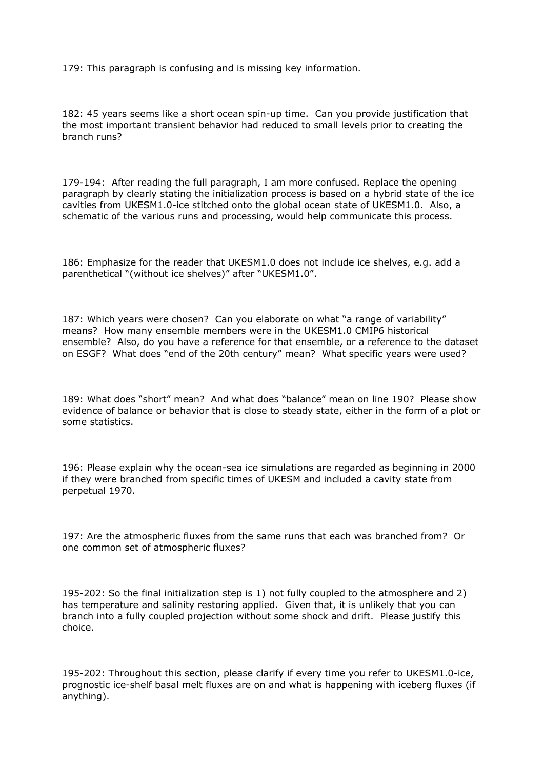179: This paragraph is confusing and is missing key information.

182: 45 years seems like a short ocean spin-up time. Can you provide justification that the most important transient behavior had reduced to small levels prior to creating the branch runs?

179-194: After reading the full paragraph, I am more confused. Replace the opening paragraph by clearly stating the initialization process is based on a hybrid state of the ice cavities from UKESM1.0-ice stitched onto the global ocean state of UKESM1.0. Also, a schematic of the various runs and processing, would help communicate this process.

186: Emphasize for the reader that UKESM1.0 does not include ice shelves, e.g. add a parenthetical "(without ice shelves)" after "UKESM1.0".

187: Which years were chosen? Can you elaborate on what "a range of variability" means? How many ensemble members were in the UKESM1.0 CMIP6 historical ensemble? Also, do you have a reference for that ensemble, or a reference to the dataset on ESGF? What does "end of the 20th century" mean? What specific years were used?

189: What does "short" mean? And what does "balance" mean on line 190? Please show evidence of balance or behavior that is close to steady state, either in the form of a plot or some statistics.

196: Please explain why the ocean-sea ice simulations are regarded as beginning in 2000 if they were branched from specific times of UKESM and included a cavity state from perpetual 1970.

197: Are the atmospheric fluxes from the same runs that each was branched from? Or one common set of atmospheric fluxes?

195-202: So the final initialization step is 1) not fully coupled to the atmosphere and 2) has temperature and salinity restoring applied. Given that, it is unlikely that you can branch into a fully coupled projection without some shock and drift. Please justify this choice.

195-202: Throughout this section, please clarify if every time you refer to UKESM1.0-ice, prognostic ice-shelf basal melt fluxes are on and what is happening with iceberg fluxes (if anything).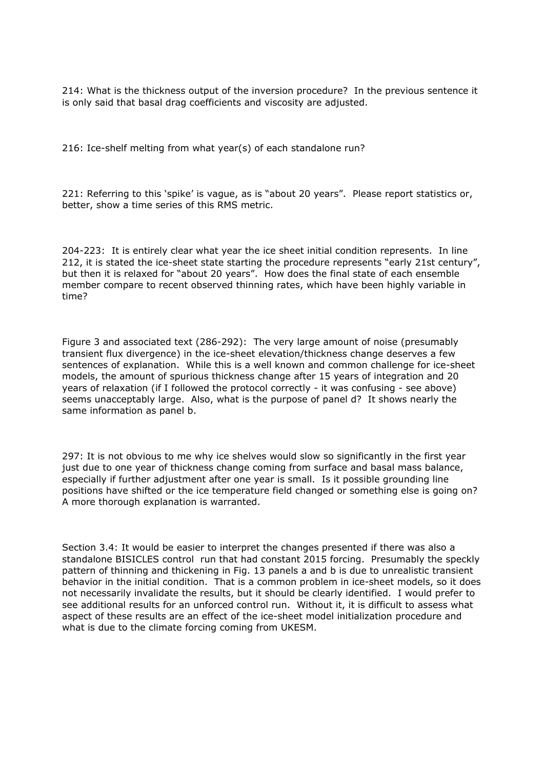214: What is the thickness output of the inversion procedure? In the previous sentence it is only said that basal drag coefficients and viscosity are adjusted.

216: Ice-shelf melting from what year(s) of each standalone run?

221: Referring to this 'spike' is vague, as is "about 20 years". Please report statistics or, better, show a time series of this RMS metric.

204-223: It is entirely clear what year the ice sheet initial condition represents. In line 212, it is stated the ice-sheet state starting the procedure represents "early 21st century", but then it is relaxed for "about 20 years". How does the final state of each ensemble member compare to recent observed thinning rates, which have been highly variable in time?

Figure 3 and associated text (286-292): The very large amount of noise (presumably transient flux divergence) in the ice-sheet elevation/thickness change deserves a few sentences of explanation. While this is a well known and common challenge for ice-sheet models, the amount of spurious thickness change after 15 years of integration and 20 years of relaxation (if I followed the protocol correctly - it was confusing - see above) seems unacceptably large. Also, what is the purpose of panel d? It shows nearly the same information as panel b.

297: It is not obvious to me why ice shelves would slow so significantly in the first year just due to one year of thickness change coming from surface and basal mass balance, especially if further adjustment after one year is small. Is it possible grounding line positions have shifted or the ice temperature field changed or something else is going on? A more thorough explanation is warranted.

Section 3.4: It would be easier to interpret the changes presented if there was also a standalone BISICLES control run that had constant 2015 forcing. Presumably the speckly pattern of thinning and thickening in Fig. 13 panels a and b is due to unrealistic transient behavior in the initial condition. That is a common problem in ice-sheet models, so it does not necessarily invalidate the results, but it should be clearly identified. I would prefer to see additional results for an unforced control run. Without it, it is difficult to assess what aspect of these results are an effect of the ice-sheet model initialization procedure and what is due to the climate forcing coming from UKESM.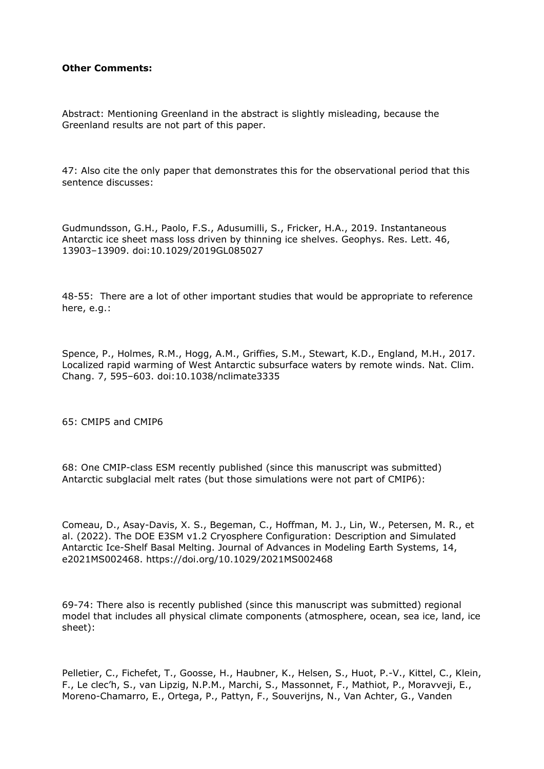#### **Other Comments:**

Abstract: Mentioning Greenland in the abstract is slightly misleading, because the Greenland results are not part of this paper.

47: Also cite the only paper that demonstrates this for the observational period that this sentence discusses:

Gudmundsson, G.H., Paolo, F.S., Adusumilli, S., Fricker, H.A., 2019. Instantaneous Antarctic ice sheet mass loss driven by thinning ice shelves. Geophys. Res. Lett. 46, 13903–13909. doi:10.1029/2019GL085027

48-55: There are a lot of other important studies that would be appropriate to reference here, e.g.:

Spence, P., Holmes, R.M., Hogg, A.M., Griffies, S.M., Stewart, K.D., England, M.H., 2017. Localized rapid warming of West Antarctic subsurface waters by remote winds. Nat. Clim. Chang. 7, 595–603. doi:10.1038/nclimate3335

65: CMIP5 and CMIP6

68: One CMIP-class ESM recently published (since this manuscript was submitted) Antarctic subglacial melt rates (but those simulations were not part of CMIP6):

Comeau, D., Asay-Davis, X. S., Begeman, C., Hoffman, M. J., Lin, W., Petersen, M. R., et al. (2022). The DOE E3SM v1.2 Cryosphere Configuration: Description and Simulated Antarctic Ice-Shelf Basal Melting. Journal of Advances in Modeling Earth Systems, 14, e2021MS002468. https://doi.org/10.1029/2021MS002468

69-74: There also is recently published (since this manuscript was submitted) regional model that includes all physical climate components (atmosphere, ocean, sea ice, land, ice sheet):

Pelletier, C., Fichefet, T., Goosse, H., Haubner, K., Helsen, S., Huot, P.-V., Kittel, C., Klein, F., Le clec'h, S., van Lipzig, N.P.M., Marchi, S., Massonnet, F., Mathiot, P., Moravveji, E., Moreno-Chamarro, E., Ortega, P., Pattyn, F., Souverijns, N., Van Achter, G., Vanden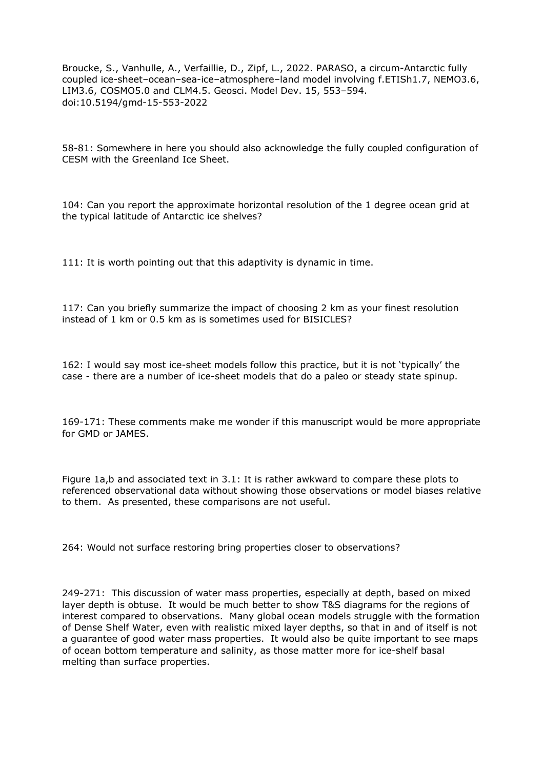Broucke, S., Vanhulle, A., Verfaillie, D., Zipf, L., 2022. PARASO, a circum-Antarctic fully coupled ice-sheet–ocean–sea-ice–atmosphere–land model involving f.ETISh1.7, NEMO3.6, LIM3.6, COSMO5.0 and CLM4.5. Geosci. Model Dev. 15, 553–594. doi:10.5194/gmd-15-553-2022

58-81: Somewhere in here you should also acknowledge the fully coupled configuration of CESM with the Greenland Ice Sheet.

104: Can you report the approximate horizontal resolution of the 1 degree ocean grid at the typical latitude of Antarctic ice shelves?

111: It is worth pointing out that this adaptivity is dynamic in time.

117: Can you briefly summarize the impact of choosing 2 km as your finest resolution instead of 1 km or 0.5 km as is sometimes used for BISICLES?

162: I would say most ice-sheet models follow this practice, but it is not 'typically' the case - there are a number of ice-sheet models that do a paleo or steady state spinup.

169-171: These comments make me wonder if this manuscript would be more appropriate for GMD or JAMES.

Figure 1a,b and associated text in 3.1: It is rather awkward to compare these plots to referenced observational data without showing those observations or model biases relative to them. As presented, these comparisons are not useful.

264: Would not surface restoring bring properties closer to observations?

249-271: This discussion of water mass properties, especially at depth, based on mixed layer depth is obtuse. It would be much better to show T&S diagrams for the regions of interest compared to observations. Many global ocean models struggle with the formation of Dense Shelf Water, even with realistic mixed layer depths, so that in and of itself is not a guarantee of good water mass properties. It would also be quite important to see maps of ocean bottom temperature and salinity, as those matter more for ice-shelf basal melting than surface properties.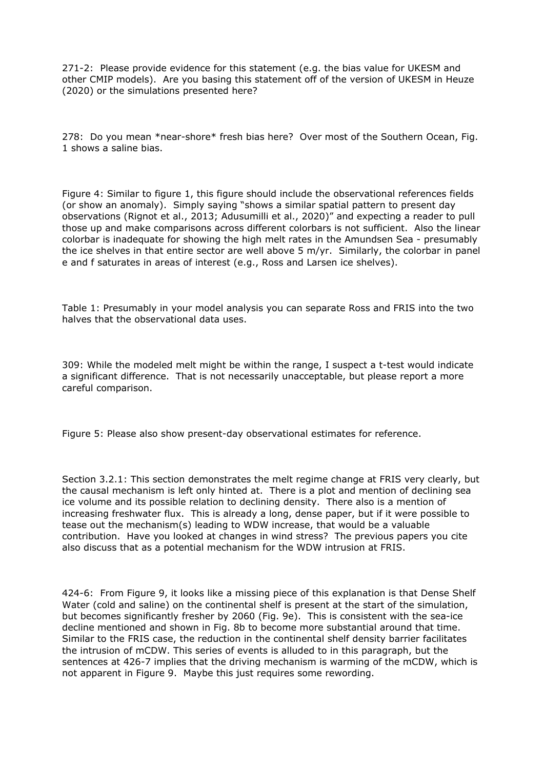271-2: Please provide evidence for this statement (e.g. the bias value for UKESM and other CMIP models). Are you basing this statement off of the version of UKESM in Heuze (2020) or the simulations presented here?

278: Do you mean \*near-shore\* fresh bias here? Over most of the Southern Ocean, Fig. 1 shows a saline bias.

Figure 4: Similar to figure 1, this figure should include the observational references fields (or show an anomaly). Simply saying "shows a similar spatial pattern to present day observations (Rignot et al., 2013; Adusumilli et al., 2020)" and expecting a reader to pull those up and make comparisons across different colorbars is not sufficient. Also the linear colorbar is inadequate for showing the high melt rates in the Amundsen Sea - presumably the ice shelves in that entire sector are well above 5 m/yr. Similarly, the colorbar in panel e and f saturates in areas of interest (e.g., Ross and Larsen ice shelves).

Table 1: Presumably in your model analysis you can separate Ross and FRIS into the two halves that the observational data uses.

309: While the modeled melt might be within the range, I suspect a t-test would indicate a significant difference. That is not necessarily unacceptable, but please report a more careful comparison.

Figure 5: Please also show present-day observational estimates for reference.

Section 3.2.1: This section demonstrates the melt regime change at FRIS very clearly, but the causal mechanism is left only hinted at. There is a plot and mention of declining sea ice volume and its possible relation to declining density. There also is a mention of increasing freshwater flux. This is already a long, dense paper, but if it were possible to tease out the mechanism(s) leading to WDW increase, that would be a valuable contribution. Have you looked at changes in wind stress? The previous papers you cite also discuss that as a potential mechanism for the WDW intrusion at FRIS.

424-6: From Figure 9, it looks like a missing piece of this explanation is that Dense Shelf Water (cold and saline) on the continental shelf is present at the start of the simulation, but becomes significantly fresher by 2060 (Fig. 9e). This is consistent with the sea-ice decline mentioned and shown in Fig. 8b to become more substantial around that time. Similar to the FRIS case, the reduction in the continental shelf density barrier facilitates the intrusion of mCDW. This series of events is alluded to in this paragraph, but the sentences at 426-7 implies that the driving mechanism is warming of the mCDW, which is not apparent in Figure 9. Maybe this just requires some rewording.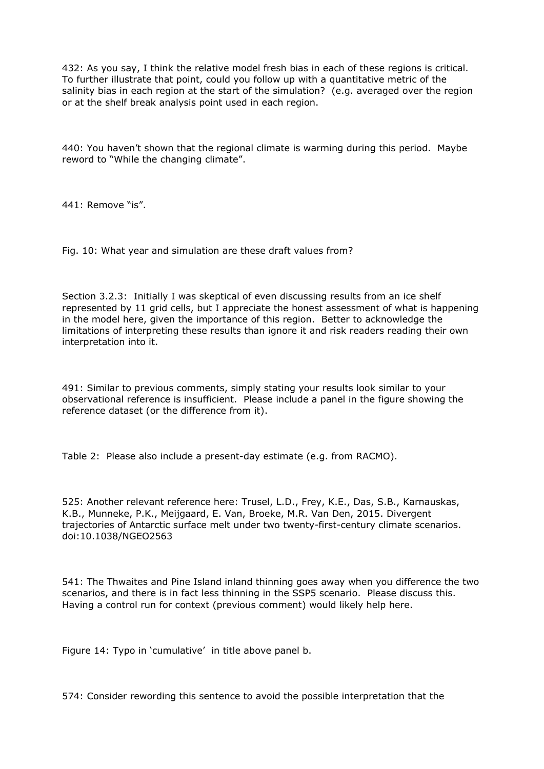432: As you say, I think the relative model fresh bias in each of these regions is critical. To further illustrate that point, could you follow up with a quantitative metric of the salinity bias in each region at the start of the simulation? (e.g. averaged over the region or at the shelf break analysis point used in each region.

440: You haven't shown that the regional climate is warming during this period. Maybe reword to "While the changing climate".

441: Remove "is".

Fig. 10: What year and simulation are these draft values from?

Section 3.2.3: Initially I was skeptical of even discussing results from an ice shelf represented by 11 grid cells, but I appreciate the honest assessment of what is happening in the model here, given the importance of this region. Better to acknowledge the limitations of interpreting these results than ignore it and risk readers reading their own interpretation into it.

491: Similar to previous comments, simply stating your results look similar to your observational reference is insufficient. Please include a panel in the figure showing the reference dataset (or the difference from it).

Table 2: Please also include a present-day estimate (e.g. from RACMO).

525: Another relevant reference here: Trusel, L.D., Frey, K.E., Das, S.B., Karnauskas, K.B., Munneke, P.K., Meijgaard, E. Van, Broeke, M.R. Van Den, 2015. Divergent trajectories of Antarctic surface melt under two twenty-first-century climate scenarios. doi:10.1038/NGEO2563

541: The Thwaites and Pine Island inland thinning goes away when you difference the two scenarios, and there is in fact less thinning in the SSP5 scenario. Please discuss this. Having a control run for context (previous comment) would likely help here.

Figure 14: Typo in 'cumulative' in title above panel b.

574: Consider rewording this sentence to avoid the possible interpretation that the